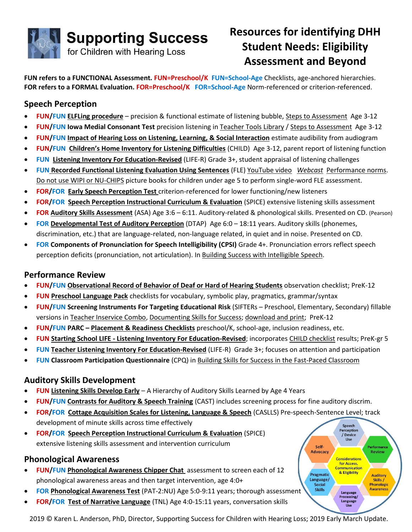

# **Resources for identifying DHH Student Needs: Eligibility Assessment and Beyond**

Perception<br>/ Device **I**Ise

Considerations for Access, **Communication** & Eligibility

> Language ng/ Language

Performand

**Review** 

**Auditory** 

Skills /

**Phonologic** 

**Awareness** 

Self-

**Advocacy** 

Pragmatic

Language/

Social

**Skills** 

**FUN refers to a FUNCTIONAL Assessment. FUN=Preschool/K FUN=School-Age** Checklists, age-anchored hierarchies. **FOR refers to a FORMAL Evaluation. FOR=Preschool/K FOR=School-Age** Norm-referenced or criterion-referenced.

## **Speech Perception**

- **FUN/FUN [ELFLing procedure](http://successforkidswithhearingloss.com/tests)** precision & functional estimate of listening bubble, [Steps to Assessment](https://successforkidswithhearingloss.com/product/steps-to-assessment-2/) Age 3-12
- **FUN/FUN Iowa Medial Consonant Test** precision listening in [Teacher Tools](http://teachertools.successforkidswithhearingloss.com/) Library [/ Steps to Assessment](https://successforkidswithhearingloss.com/product/steps-to-assessment-2/) Age 3-12
- **FUN/FUN [Impact of Hearing Loss on Listening, Learning, & Social Interaction](https://successforkidswithhearingloss.com/product/teacher-inservice-combo-individual/)** estimate audibility from audiogram
- **FUN/FUN [Children's Home Inventory for Listening Difficulties](file:///C:/Users/Karen%20L%20Anderson/Dropbox%20(SSCHL)/Shared%20SSCHL%20Files%20-%20Marketing/2017-2018%20Updates/Oct%20-%20Late/•%09http:/successforkidswithhearingloss.com/tests)** (CHILD) Age 3-12, parent report of listening function
- **FUN [Listening Inventory For Education-Revised](http://successforkidswithhearingloss.com/life-r/)** (LIFE-R) Grade 3+, student appraisal of listening challenges
- **FUN [Recorded Functional Listening Evaluation Using Sentences](http://successforkidswithhearingloss.com/fle-recorded)** (FLE[\) YouTube video](https://www.youtube.com/watch?v=4tOxoMaKXG4) *[Webcast](https://webcasts.successforkidswithhearingloss.com/using-the-recorded-fle/)* [Performance norms.](https://successforkidswithhearingloss.com/wp-content/uploads/2012/05/Speech-in-Noise-Norms-for-Typical-Children.doc) [Do not use WIPI or NU-CHIPS](https://pubs.asha.org/doi/10.1044/0161-1461.1902.144) picture books for children under age 5 to perform single-word FLE assessment.
- **FOR/FOR [Early Speech Perception Test](http://successforkidswithhearingloss.com/esp-early-speech-perception-test/)** criterion-referenced for lower functioning/new listeners
- **FOR/FOR [Speech Perception Instructional Curriculum & Evaluation](http://successforkidswithhearingloss.com/spice/)** (SPICE) extensive listening skills assessment
- **FOR [Auditory Skills Assessment](https://www.pearsonclinical.com/language/products/100000493/auditory-skills-assessment-asa.html?origsearchtext=100000493#tab-details)** (ASA) Age 3:6 6:11. Auditory-related & phonological skills. Presented on CD. (Pearson)
- **FOR [Developmental Test of Auditory Perception](file:///C:/Users/Karen%20L%20Anderson/Dropbox%20(SSCHL)/Shared%20SSCHL%20Files%20-%20Marketing/2017-2018%20Updates/Oct%20-%20Late/•%09http:/successforkidswithhearingloss.com/dtap/)** (DTAP) Age 6:0 18:11 years. Auditory skills (phonemes, discrimination, etc.) that are language-related, non-language related, in quiet and in noise. Presented on CD.
- **FOR Components of Pronunciation for Speech Intelligibility (CPSI)** Grade 4+. Pronunciation errors reflect speech perception deficits (pronunciation, not articulation). In [Building Success with Intelligible Speech.](https://successforkidswithhearingloss.com/product/building-skills-with-intelligible-speech/)

#### **Performance Review**

- **FUN/FUN [Observational Record of Behavior of Deaf or Hard of Hearing Students](https://successforkidswithhearingloss.com/wp-content/uploads/2018/10/Observational-Record-of-Behavior.pdf)** observation checklist; PreK-12
- **FUN [Preschool Language Pack](https://successforkidswithhearingloss.com/product/preschool-language-pack/)** checklists for vocabulary, symbolic play, pragmatics, grammar/syntax
- **FUN/FUN Screening Instruments For Targeting Educational Risk** (SIFTERs Preschool, Elementary, Secondary) fillable versions in [Teacher Inservice Combo,](https://successforkidswithhearingloss.com/product/teacher-inservice-combo-individual/) [Documenting Skills for Success;](http://successforkidswithhearingloss.com/product/documenting-skills-for-success-data-gathering-resources/) [download and print;](https://successforkidswithhearingloss.com/for-professionals/tests-informal-assessments-for-parents-students-teachers/) PreK-12
- **FUN/FUN PARC – [Placement & Readiness Checklists](https://successforkidswithhearingloss.com/for-professionals/tests-informal-assessments-for-parents-students-teachers/)** preschool/K, school-age, inclusion readiness, etc.
- **FUN Starting School LIFE - [Listening Inventory For Education-Revised](file:///C:/Users/Karen%20L%20Anderson/Dropbox%20(SSCHL)/Shared%20SSCHL%20Files%20-%20Marketing/2017-2018%20Updates/Oct%20-%20Late/•%09http:/successforkidswithhearingloss.com/life-r/)**; incorporates [CHILD checklist](https://successforkidswithhearingloss.com/wp-content/uploads/2011/08/CHILD_pgs3-4.pdf) results; PreK-gr 5
- **FUN [Teacher Listening Inventory For Education-Revised](file:///C:/Users/Karen%20L%20Anderson/Dropbox%20(SSCHL)/Shared%20SSCHL%20Files%20-%20Marketing/2017-2018%20Updates/Oct%20-%20Late/•%09http:/successforkidswithhearingloss.com/life-r/)** (LIFE-R) Grade 3+; focuses on attention and participation
- **FUN Classroom Participation Questionnaire** (CPQ) i[n Building Skills for Success in the Fast-Paced Classroom](https://successforkidswithhearingloss.com/product/building-skills-for-success-in-the-fast-paced-classroom/)

## **Auditory Skills Development**

- **FUN [Listening Skills Develop Early](https://successforkidswithhearingloss.com/wp-content/uploads/2019/01/Listening-Skills-Develop-Early.pdf)** A Hierarchy of Auditory Skills Learned by Age 4 Years
- **FUN/FUN [Contrasts for Auditory & Speech Training](http://successforkidswithhearingloss.com/contrasts-for-auditory-and-speech/)** (CAST) includes screening process for fine auditory discrim.
- **FOR/FOR [Cottage Acquisition Scales for Listening, Language & Speech](http://edproducts.sunshinecottage.org/store/)** (CASLLS) Pre-speech-Sentence Level; track development of minute skills across time effectively Speech
- **FOR/FOR [Speech Perception Instructional Curriculum & Evaluation](http://successforkidswithhearingloss.com/spice/)** (SPICE) extensive listening skills assessment and intervention curriculum

#### **Phonological Awareness**

- **FUN/FUN [Phonological Awareness Chipper Chat](http://successforkidswithhearingloss.com/phonological-awareness-chipper-chat/)** assessment to screen each of 12 phonological awareness areas and then target intervention, age 4:0+
- **FOR [Phonological Awareness Test](https://successforkidswithhearingloss.com/product/phonological-awareness-test-2-normative-update-pat-2/)** (PAT-2:NU) Age 5:0-9:11 years; thorough assessmen[t](https://successforkidswithhearingloss.com/product/steps-to-assessment-2/)
- **FOR/FOR [Test of Narrative Language](http://successforkidswithhearingloss.com/tnl/)** (TNL) Age 4:0-15:11 years, conversation skills

2019 © Karen L. Anderson, PhD, Director, Supporting Success for Children with Hearing Loss; 2019 Early March Update.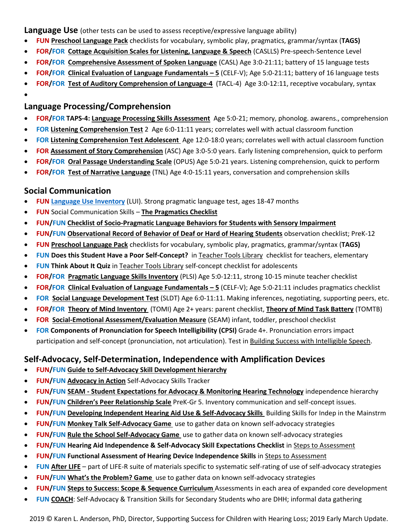**Language Use** (other tests can be used to assess receptive/expressive language ability)

- **FUN [Preschool Language Pack](https://successforkidswithhearingloss.com/product/preschool-language-pack/)** checklists for vocabulary, symbolic play, pragmatics, grammar/syntax (**TAGS)**
- **FOR/FOR [Cottage Acquisition Scales for Listening, Language & Speech](http://edproducts.sunshinecottage.org/store/)** (CASLLS) Pre-speech-Sentence Level
- **FOR/FOR [Comprehensive Assessment of Spoken Language](https://www.pearsonclinical.com/language/products/100001922/comprehensive-assessment-of-spoken-language-second-edition-casl-2.html?origsearchtext=casl2)** (CASL) Age 3:0-21:11; battery of 15 language tests
- **FOR/FOR [Clinical Evaluation of Language Fundamentals](https://www.pearsonclinical.com/language/products/100000705/clinical-evaluation-of-language-fundamentals-fifth-edition-celf-5.html) – 5** (CELF-V); Age 5:0-21:11; battery of 16 language tests
- **FOR/FOR [Test of Auditory Comprehension of Language-4](https://www.proedinc.com/Products/12700/tacl4-test-for-auditory-comprehension-of-languagefourth-edition.aspx)** (TACL-4) Age 3:0-12:11, receptive vocabulary, syntax
- •

#### **Language Processing/Comprehension**

- **FOR/FOR TAPS-4: [Language Processing Skills Assessment](http://successforkidswithhearingloss.com/taps-4/)** Age 5:0-21; memory, phonolog. awarens., comprehension
- **FOR [Listening Comprehension Test](file:///C:/Users/Karen%20L%20Anderson/Dropbox%20(SSCHL)/Shared%20SSCHL%20Files%20-%20Marketing/2017-2018%20Updates/Oct%20-%20Late/•%09http:/successforkidswithhearingloss.com/listening-comprehension-test-2)** 2 Age 6:0-11:11 years; correlates well with actual classroom function
- **FOR [Listening Comprehension Test Adolescent](file:///C:/Users/Karen%20L%20Anderson/Dropbox%20(SSCHL)/Shared%20SSCHL%20Files%20-%20Marketing/2017-2018%20Updates/Oct%20-%20Late/•%09http:/successforkidswithhearingloss.com/listening-comprehension-test-adolescent)** Age 12:0-18:0 years; correlates well with actual classroom function
- **FOR [Assessment of Story Comprehension](https://successforkidswithhearingloss.com/product/assessment-of-story-comprehension-asc/)** (ASC) Age 3:0-5:0 years. Early listening comprehension, quick to perform
- **FOR/FOR [Oral Passage Understanding Scale](http://successforkidswithhearingloss.com/opus/)** (OPUS) Age 5:0-21 years. Listening comprehension, quick to perform
- **FOR/FOR [Test of Narrative Language](http://successforkidswithhearingloss.com/tnl/)** (TNL) Age 4:0-15:11 years, conversation and comprehension skills

#### **Social Communication**

- **FUN [Language Use Inventory](https://languageuseinventory.com/)** (LUI). Strong pragmatic language test, ages 18-47 months
- **FUN** Social Communication Skills **[The Pragmatics Checklist](http://successforkidswithhearingloss.com/pragmatics/)**
- **FUN/FUN [Checklist of Socio-Pragmatic Language Behaviors for Students with Sensory Impairment](http://successforkidswithhearingloss.com/pragmatics/)**
- **FUN/FUN [Observational Record of Behavior of Deaf or Hard of Hearing Students](https://successforkidswithhearingloss.com/wp-content/uploads/2018/10/Observational-Record-of-Behavior.pdf)** observation checklist; PreK-12
- **FUN [Preschool Language Pack](https://successforkidswithhearingloss.com/product/preschool-language-pack/)** checklists for vocabulary, symbolic play, pragmatics, grammar/syntax (**TAGS)**
- **FUN Does this Student Have a Poor Self-Concept?** i[n Teacher Tools Library](http://teachertools.successforkidswithhearingloss.com/) checklist for teachers, elementary
- **FUN Think About It Quiz** in Teacher Tools Library [self-concept checklist for adolescents](http://teachertools.successforkidswithhearingloss.com/)
- **FOR/FOR [Pragmatic Language Skills Inventory](http://successforkidswithhearingloss.com/plsi/)** (PLSI) Age 5:0-12:11, strong 10-15 minute teacher checklist
- **FOR/FOR [Clinical Evaluation of Language Fundamentals](https://www.pearsonclinical.com/language/products/100000705/clinical-evaluation-of-language-fundamentals-fifth-edition-celf-5.html) – 5** (CELF-V); Age 5:0-21:11 includes pragmatics checklist
- **FOR [Social Language Development Test](http://successforkidswithhearingloss.com/social-language-development-test/)** (SLDT) Age 6:0-11:11. Making inferences, negotiating, supporting peers, etc.
- **FOR/FOR [Theory of Mind Inventory](file:///C:/Users/Karen%20L%20Anderson/Dropbox%20(SSCHL)/Shared%20SSCHL%20Files%20-%20Marketing/2017-2018%20Updates/Oct%20-%20Late/•%09http:/successforkidswithhearingloss.com/theory%20of%20mind/)** (TOMI) Age 2+ years: parent checklist, **[Theory of Mind Task Battery](file:///C:/Users/Karen%20L%20Anderson/Dropbox%20(SSCHL)/Shared%20SSCHL%20Files%20-%20Marketing/2017-2018%20Updates/Oct%20-%20Late/•%09http:/successforkidswithhearingloss.com/theory%20of%20mind/)** (TOMTB)
- **FOR [Social-Emotional Assessment/Evaluation Measure](http://successforkidswithhearingloss.com/social-emotional-assessment-evaluation-measure/)** (SEAM) infant, toddler, preschool checklist
- **FOR Components of Pronunciation for Speech Intelligibility (CPSI)** Grade 4+. Pronunciation errors impact participation and self-concept (pronunciation, not articulation). Test i[n Building Success with Intelligible Speech.](https://successforkidswithhearingloss.com/product/building-skills-with-intelligible-speech/)

## **Self-Advocacy, Self-Determination, Independence with Amplification Devices**

- **FUN/FUN [Guide to Self-Advocacy Skill Development hierarchy](file:///C:/Users/Karen%20L%20Anderson/Dropbox%20(SSCHL)/Shared%20SSCHL%20Files%20-%20Marketing/2017-2018%20Updates/Oct%20-%20Late/•%09http:/successforkidswithhearingloss.com/self-advocacy/)**
- **FUN/FUN [Advocacy in Action](http://successforkidswithhearingloss.com/advocacy-action)** Self-Advocacy Skills Tracker
- **FUN/FUN SEAM - [Student Expectations for Advocacy & Monitoring Hearing Technology](https://successforkidswithhearingloss.com/wp-content/uploads/2018/04/SEAM-for-School-Success.pdf)** independence hierarchy
- **FUN/FUN [Children's Peer Relationship Scale](https://successforkidswithhearingloss.com/tests/)** PreK-Gr 5. Inventory communication and self-concept issues.
- **FUN/FUN [Developing Independent Hearing Aid Use & Self-Advocacy Skills](file:///C:/Users/Karen%20L%20Anderson/Dropbox%20(SSCHL)/Shared%20SSCHL%20Files%20-%20Marketing/2017-2018%20Updates/Oct%20-%20Late/•%09http:/successforkidswithhearingloss.com/buildingskills_independence)** Building Skills for Indep in the Mainstrm
- **FUN/FUN [Monkey Talk Self-Advocacy Game](http://successforkidswithhearingloss.com/monkey-talk-game)** use to gather data on known self-advocacy strategies
- **FUN/FUN [Rule the School Self-Advocacy Game](http://successforkidswithhearingloss.com/rtsgame/)** use to gather data on known self-advocacy strategies
- **FUN/FUN Hearing Aid Independence & Self-Advocacy Skill Expectations Checklist** in [Steps to Assessment](https://successforkidswithhearingloss.com/product/steps-to-assessment-2/)
- **FUN/FUN Functional Assessment of Hearing Device Independence Skills** in [Steps to Assessment](https://successforkidswithhearingloss.com/product/steps-to-assessment-2/)
- **FUN [After LIFE](http://successforkidswithhearingloss.com/life-r/)** part of LIFE-R suite of materials specific to systematic self-rating of use of self-advocacy strategies
- **FUN/FUN [What's the Problem? Game](http://successforkidswithhearingloss.com/whats-the-problem/)** use to gather data on known self-advocacy strategies
- **FUN/FUN [Steps to Success: Scope & Sequence Curriculum](file:///C:/Users/Karen%20L%20Anderson/Dropbox%20(SSCHL)/Shared%20SSCHL%20Files%20-%20Marketing/2017-2018%20Updates/Oct%20-%20Late/•%09http:/successforkidswithhearingloss.com/steps-to-success/)** Assessments in each area of expanded core development
- **FUN [COACH](http://successforkidswithhearingloss.com/c-o-a-c-h/)**: Self-Advocacy & Transition Skills for Secondary Students who are DHH; informal data gathering